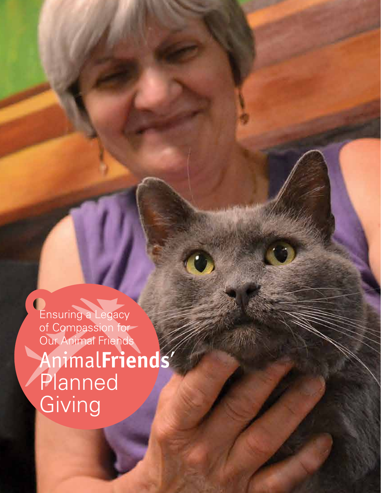Ensuring a Legacy of Compassion for Our Animal Friends Animal**Friends**' **Planned Giving**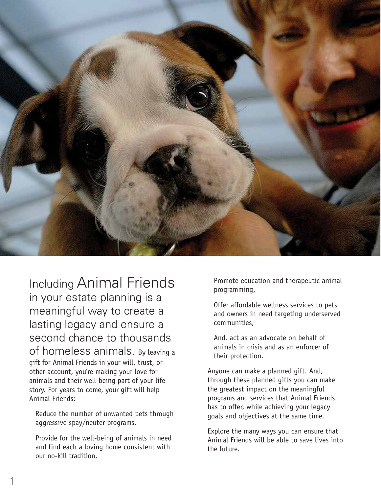

Including Animal Friends in your estate planning is a meaningful way to create a lasting legacy and ensure a second chance to thousands of homeless animals. By leaving a gift for Animal Friends in your will, trust, or other account, you're making your love for animals and their well-being part of your life story. For years to come, your gift will help Animal Friends:

Reduce the number of unwanted pets through aggressive spay/neuter programs,

Provide for the well-being of animals in need and find each a loving home consistent with our no-kill tradition,

Promote education and therapeutic animal programming,

Offer affordable wellness services to pets and owners in need targeting underserved communities,

And, act as an advocate on behalf of animals in crisis and as an enforcer of their protection.

Anyone can make a planned gift. And, through these planned gifts you can make the greatest impact on the meaningful programs and services that Animal Friends has to offer, while achieving your legacy goals and objectives at the same time.

Explore the many ways you can ensure that Animal Friends will be able to save lives into the future.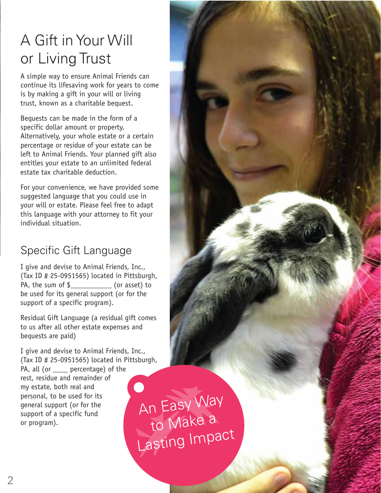# A Gift in Your Will or Living Trust

A simple way to ensure Animal Friends can continue its lifesaving work for years to come is by making a gift in your will or living trust, known as a charitable bequest.

Bequests can be made in the form of a specific dollar amount or property. Alternatively, your whole estate or a certain percentage or residue of your estate can be left to Animal Friends. Your planned gift also entitles your estate to an unlimited federal estate tax charitable deduction.

For your convenience, we have provided some suggested language that you could use in your will or estate. Please feel free to adapt this language with your attorney to fit your individual situation.

### Specific Gift Language

I give and devise to Animal Friends, Inc., (Tax ID # 25-0951565) located in Pittsburgh, PA, the sum of \$ (or asset) to be used for its general support (or for the support of a specific program).

Residual Gift Language (a residual gift comes to us after all other estate expenses and bequests are paid)

I give and devise to Animal Friends, Inc., (Tax ID # 25-0951565) located in Pittsburgh, PA, all (or same percentage) of the rest, residue and remainder of my estate, both real and personal, to be used for its general support (or for the support of a specific fund or program).

An Easy Way to Make a Lasting Impact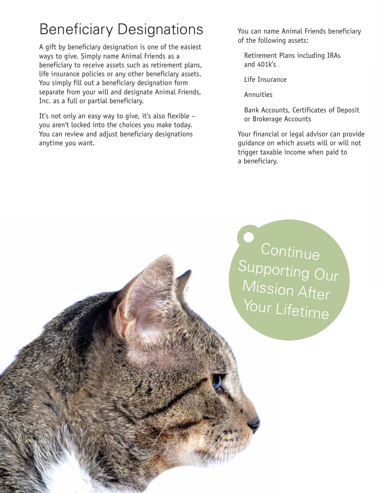# Beneficiary Designations

A gift by beneficiary designation is one of the easiest ways to give. Simply name Animal Friends as a beneficiary to receive assets such as retirement plans, life insurance policies or any other beneficiary assets. You simply fill out a beneficiary designation form separate from your will and designate Animal Friends, Inc. as a full or partial beneficiary.

It's not only an easy way to give, it's also flexible – you aren't locked into the choices you make today. You can review and adjust beneficiary designations anytime you want.

You can name Animal Friends beneficiary of the following assets:

Retirement Plans including IRAs and 401k's

Life Insurance

Annuities

Bank Accounts, Certificates of Deposit or Brokerage Accounts

Your financial or legal advisor can provide guidance on which assets will or will not trigger taxable income when paid to a beneficiary.

Continue Supporting Our Mission After Your Lifetime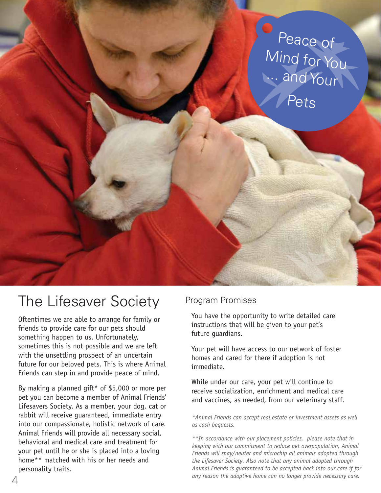

## The Lifesaver Society

Oftentimes we are able to arrange for family or friends to provide care for our pets should something happen to us. Unfortunately, sometimes this is not possible and we are left with the unsettling prospect of an uncertain future for our beloved pets. This is where Animal Friends can step in and provide peace of mind.

By making a planned gift\* of \$5,000 or more per pet you can become a member of Animal Friends' Lifesavers Society. As a member, your dog, cat or rabbit will receive guaranteed, immediate entry into our compassionate, holistic network of care. Animal Friends will provide all necessary social, behavioral and medical care and treatment for your pet until he or she is placed into a loving home\*\* matched with his or her needs and personality traits.

#### Program Promises

You have the opportunity to write detailed care instructions that will be given to your pet's future guardians.

Your pet will have access to our network of foster homes and cared for there if adoption is not immediate.

While under our care, your pet will continue to receive socialization, enrichment and medical care and vaccines, as needed, from our veterinary staff.

*\*Animal Friends can accept real estate or investment assets as well as cash bequests.* 

*\*\*In accordance with our placement policies, please note that in keeping with our commitment to reduce pet overpopulation, Animal Friends will spay/neuter and microchip all animals adopted through the Lifesaver Society. Also note that any animal adopted through Animal Friends is guaranteed to be accepted back into our care if for any reason the adoptive home can no longer provide necessary care.*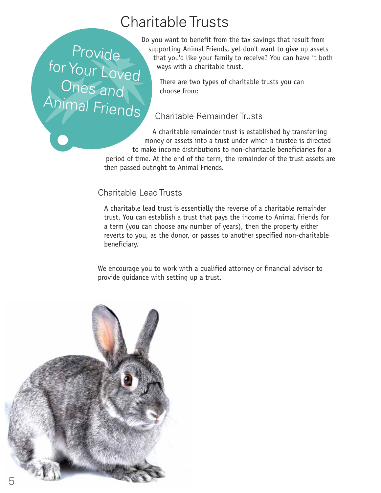## Charitable Trusts

Provide for Your Loved Ones and Animal Friends

Do you want to benefit from the tax savings that result from supporting Animal Friends, yet don't want to give up assets that you'd like your family to receive? You can have it both ways with a charitable trust.

There are two types of charitable trusts you can choose from:

#### Charitable Remainder Trusts

A charitable remainder trust is established by transferring money or assets into a trust under which a trustee is directed to make income distributions to non-charitable beneficiaries for a period of time. At the end of the term, the remainder of the trust assets are then passed outright to Animal Friends.

#### Charitable Lead Trusts

A charitable lead trust is essentially the reverse of a charitable remainder trust. You can establish a trust that pays the income to Animal Friends for a term (you can choose any number of years), then the property either reverts to you, as the donor, or passes to another specified non-charitable beneficiary.

We encourage you to work with a qualified attorney or financial advisor to provide guidance with setting up a trust.

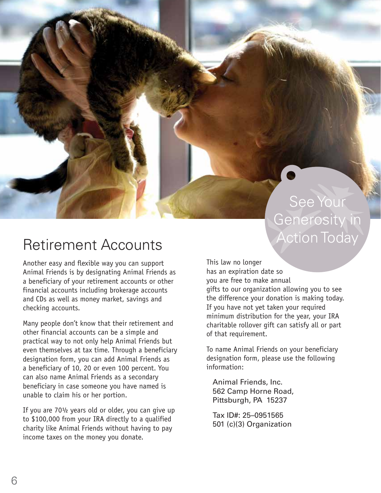## See Your Generosity in Action Today

## Retirement Accounts

Another easy and flexible way you can support Animal Friends is by designating Animal Friends as a beneficiary of your retirement accounts or other financial accounts including brokerage accounts and CDs as well as money market, savings and checking accounts.

Many people don't know that their retirement and other financial accounts can be a simple and practical way to not only help Animal Friends but even themselves at tax time. Through a beneficiary designation form, you can add Animal Friends as a beneficiary of 10, 20 or even 100 percent. You can also name Animal Friends as a secondary beneficiary in case someone you have named is unable to claim his or her portion.

If you are 70½ years old or older, you can give up to \$100,000 from your IRA directly to a qualified charity like Animal Friends without having to pay income taxes on the money you donate.

This law no longer has an expiration date so you are free to make annual gifts to our organization allowing you to see the difference your donation is making today. If you have not yet taken your required minimum distribution for the year, your IRA charitable rollover gift can satisfy all or part of that requirement.

To name Animal Friends on your beneficiary designation form, please use the following information:

Animal Friends, Inc. 562 Camp Horne Road, Pittsburgh, PA 15237

Tax ID#: 25–0951565 501 (c)(3) Organization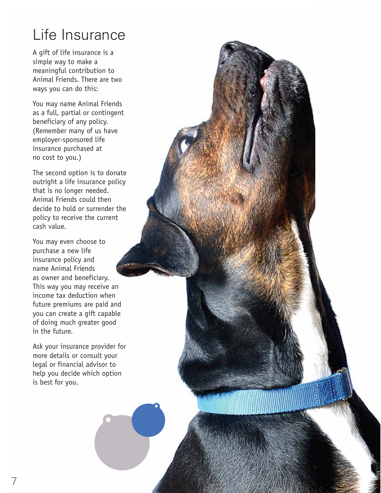# Life Insurance

A gift of life insurance is a simple way to make a meaningful contribution to Animal Friends. There are two ways you can do this:

You may name Animal Friends as a full, partial or contingent beneficiary of any policy. (Remember many of us have employer-sponsored life insurance purchased at no cost to you.)

The second option is to donate outright a life insurance policy that is no longer needed. Animal Friends could then decide to hold or surrender the policy to receive the current cash value.

You may even choose to purchase a new life insurance policy and name Animal Friends as owner and beneficiary. This way you may receive an income tax deduction when future premiums are paid and you can create a gift capable of doing much greater good in the future.

Ask your insurance provider for more details or consult your legal or financial advisor to help you decide which option is best for you.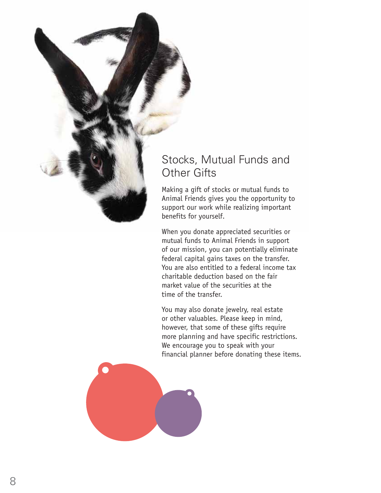

Making a gift of stocks or mutual funds to Animal Friends gives you the opportunity to support our work while realizing important benefits for yourself.

When you donate appreciated securities or mutual funds to Animal Friends in support of our mission, you can potentially eliminate federal capital gains taxes on the transfer. You are also entitled to a federal income tax charitable deduction based on the fair market value of the securities at the time of the transfer.

You may also donate jewelry, real estate or other valuables. Please keep in mind, however, that some of these gifts require more planning and have specific restrictions. We encourage you to speak with your financial planner before donating these items.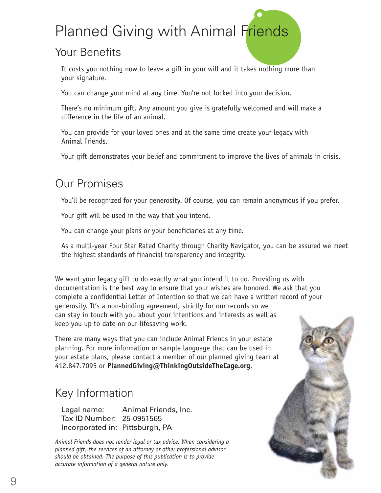# Planned Giving with Animal Friends

#### Your Benefits

It costs you nothing now to leave a gift in your will and it takes nothing more than your signature.

You can change your mind at any time. You're not locked into your decision.

There's no minimum gift. Any amount you give is gratefully welcomed and will make a difference in the life of an animal.

You can provide for your loved ones and at the same time create your legacy with Animal Friends.

Your gift demonstrates your belief and commitment to improve the lives of animals in crisis.

### Our Promises

You'll be recognized for your generosity. Of course, you can remain anonymous if you prefer.

Your gift will be used in the way that you intend.

You can change your plans or your beneficiaries at any time.

As a multi-year Four Star Rated Charity through Charity Navigator, you can be assured we meet the highest standards of financial transparency and integrity.

We want your legacy gift to do exactly what you intend it to do. Providing us with documentation is the best way to ensure that your wishes are honored. We ask that you complete a confidential Letter of Intention so that we can have a written record of your generosity. It's a non-binding agreement, strictly for our records so we can stay in touch with you about your intentions and interests as well as keep you up to date on our lifesaving work.

There are many ways that you can include Animal Friends in your estate planning. For more information or sample language that can be used in your estate plans, please contact a member of our planned giving team at 412.847.7095 or **PlannedGiving@ThinkingOutsideTheCage.org**.

### Key Information

Legal name: Animal Friends, Inc. Tax ID Number: 25-0951565 Incorporated in: Pittsburgh, PA

*Animal Friends does not render legal or tax advice. When considering a planned gift, the services of an attorney or other professional advisor should be obtained. The purpose of this publication is to provide accurate information of a general nature only.*